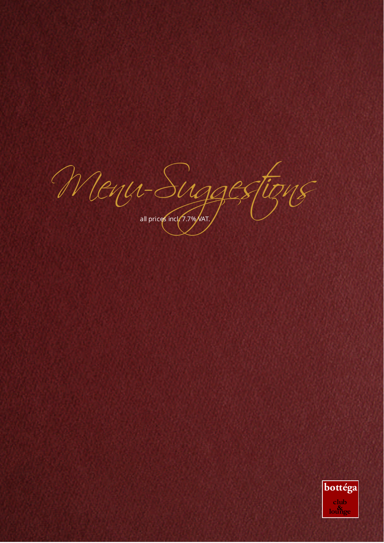*Menu-Suggestions* all prices incles 7.7% VAT.

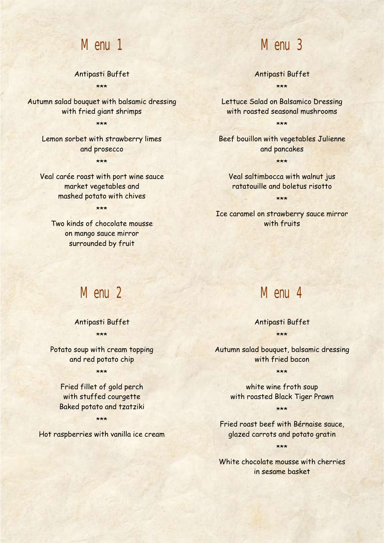*Menu 1*

Antipasti Buffet \*\*\*

Autumn salad bouquet with balsamic dressing with fried giant shrimps

\*\*\*

Lemon sorbet with strawberry limes and prosecco

\*\*\*

Veal carée roast with port wine sauce market vegetables and mashed potato with chives

\*\*\*

Two kinds of chocolate mousse on mango sauce mirror surrounded by fruit

*Menu 3*

Antipasti Buffet \*\*\*

Lettuce Salad on Balsamico Dressing with roasted seasonal mushrooms

Beef bouillon with vegetables Julienne and pancakes

\*\*\*

\*\*\*

Veal saltimbocca with walnut jus ratatouille and boletus risotto

\*\*\*

Ice caramel on strawberry sauce mirror with fruits

*Menu 2*

Antipasti Buffet \*\*\*

Potato soup with cream topping and red potato chip

\*\*\*

Fried fillet of gold perch with stuffed courgette Baked potato and tzatziki

\*\*\*

Hot raspberries with vanilla ice cream

*Menu 4*

Antipasti Buffet \*\*\*

Autumn salad bouquet, balsamic dressing with fried bacon

\*\*\*

white wine froth soup with roasted Black Tiger Prawn

\*\*\*

Fried roast beef with Bérnaise sauce, glazed carrots and potato gratin \*\*\*

White chocolate mousse with cherries in sesame basket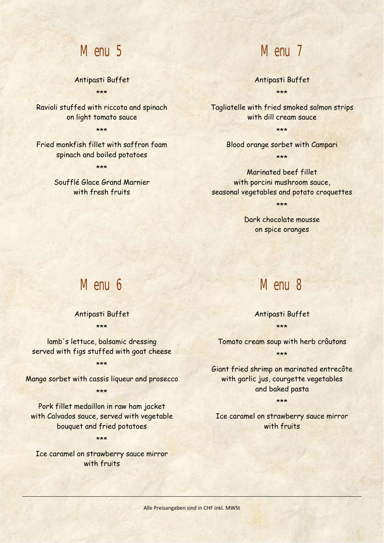*Menu 5*

Antipasti Buffet \*\*\*

Ravioli stuffed with riccota and spinach on light tomato sauce

\*\*\*

Fried monkfish fillet with saffron foam spinach and boiled potatoes

\*\*\*

Soufflé Glace Grand Marnier with fresh fruits

*Menu 7*

Antipasti Buffet \*\*\*

Tagliatelle with fried smoked salmon strips with dill cream sauce

\*\*\*

Blood orange sorbet with Campari

\*\*\*

Marinated beef fillet with porcini mushroom sauce, seasonal vegetables and potato croquettes

\*\*\*

Dark chocolate mousse on spice oranges

*Menu 6*

Antipasti Buffet \*\*\*

lamb's lettuce, balsamic dressing served with figs stuffed with goat cheese

\*\*\*

Mango sorbet with cassis liqueur and prosecco \*\*\*

Pork fillet medaillon in raw ham jacket with Calvados sauce, served with vegetable bouquet and fried potatoes

\*\*\*

Ice caramel on strawberry sauce mirror with fruits

*Menu 8*

Antipasti Buffet \*\*\*

Tomato cream soup with herb crôutons \*\*\*

Giant fried shrimp on marinated entrecôte with garlic jus, courgette vegetables and baked pasta

\*\*\*

Ice caramel on strawberry sauce mirror with fruits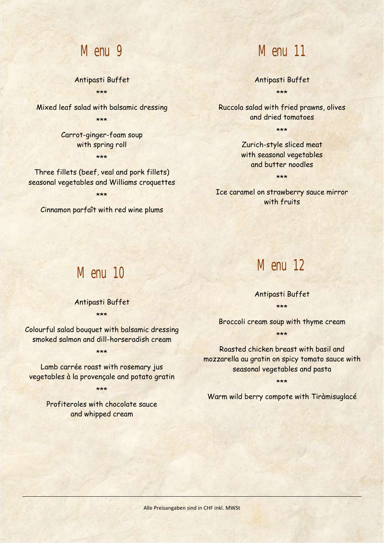*Menu 9*

Antipasti Buffet \*\*\*

Mixed leaf salad with balsamic dressing \*\*\*

> Carrot-ginger-foam soup with spring roll \*\*\*

Three fillets (beef, veal and pork fillets) seasonal vegetables and Williams croquettes

\*\*\*

Cinnamon parfaît with red wine plums

*Menu 10*

*Menu 11*

Antipasti Buffet \*\*\*

Ruccola salad with fried prawns, olives and dried tomatoes

\*\*\*

Zurich-style sliced meat with seasonal vegetables and butter noodles

\*\*\*

Ice caramel on strawberry sauce mirror with fruits

*Menu 12*

Antipasti Buffet \*\*\*

Broccoli cream soup with thyme cream \*\*\*

Roasted chicken breast with basil and mozzarella au gratin on spicy tomato sauce with seasonal vegetables and pasta

\*\*\*

Warm wild berry compote with Tiràmisuglacé

Colourful salad bouquet with balsamic dressing smoked salmon and dill-horseradish cream

\*\*\*

Antipasti Buffet \*\*\*

Lamb carrée roast with rosemary jus vegetables à la provençale and potato gratin

\*\*\*

Profiteroles with chocolate sauce and whipped cream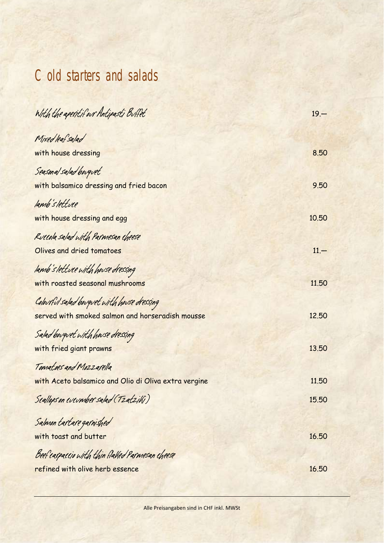# *Cold starters and salads*

| With the aperitif our Antipasti Buffet               | $19 -$ |
|------------------------------------------------------|--------|
|                                                      |        |
| Mixed leaf salad                                     |        |
| with house dressing                                  | 8.50   |
| Seasonal salad bouquet                               |        |
| with balsamico dressing and fried bacon              | 9.50   |
| lamb's lettue                                        |        |
| with house dressing and egg                          | 10.50  |
| Ruccola salad with Parmesan cheese                   |        |
| Olives and dried tomatoes                            | $11 -$ |
| lamb's lettuce with house dressing                   |        |
| with roasted seasonal mushrooms                      | 11.50  |
| Colourful salad bouquet with house dressing          |        |
| served with smoked salmon and horseradish mousse     | 12.50  |
| Salad bouquet with house dressing                    |        |
| with fried giant prawns                              | 13.50  |
| Tomatoes and Mozzarella                              |        |
| with Aceto balsamico and Olio di Oliva extra vergine | 11.50  |
| Scallaps on everywher salad (Tzatziki)               | 15.50  |
| Salmon tartare garnished                             |        |
| with toast and butter                                | 16.50  |
| Beef carpaccio with thin flaked Parmesan cheese      |        |
| refined with olive herb essence                      | 16.50  |
|                                                      |        |

Alle Preisangaben sind in CHF inkl. MWSt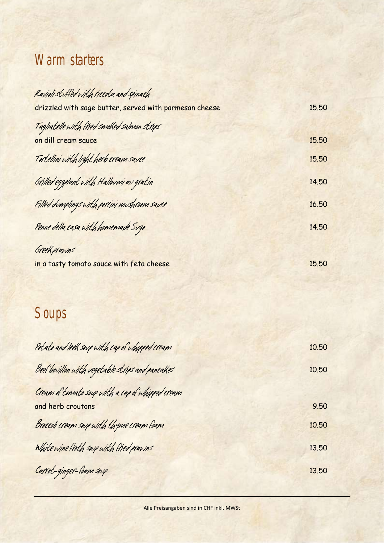## *Warm starters*

| Ravioli stuffed with riccota and spinach               |       |
|--------------------------------------------------------|-------|
| drizzled with sage butter, served with parmesan cheese | 15.50 |
| Tagtvalette with lived smoked satmon slives            |       |
| on dill cream sauce                                    | 15.50 |
| Tortellini with light herb cream savee                 | 15.50 |
| Givilled eggplant with Hallovmi av gratin              | 14.50 |
| Filled dungtings with portini mushroom savee           | 16.50 |
| Penne della casa with homemade Svgo                    | 14.50 |
| Greek prawns                                           |       |
| in a tasty tomato sauce with feta cheese               | 15.50 |
|                                                        |       |
| SOUPS                                                  |       |
| Potato and leek soup with cap of whipped cream         | 10.50 |
| Beef bovillon with vegetable strips and pancalles      | 10.50 |
| Cream of tomato soup with a cap of whipped cream       |       |
| and herb croutons                                      | 9.50  |
| Broccoti cream soup with thyme cream foam              | 10.50 |
| White wine froth say with fried prawns                 | 13.50 |
| Carrot-ginger-foam soup                                | 13.50 |

Alle Preisangaben sind in CHF inkl. MWSt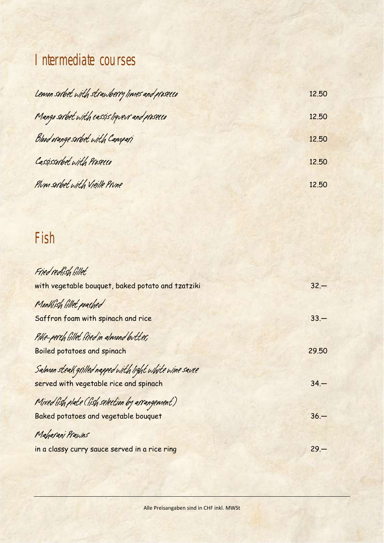## *Intermediate courses*

| Lemon sorbet with strawberry times and prosecco | 12.50 |
|-------------------------------------------------|-------|
| Mango sorbet with cassis liqueur and prosecco   | 12.50 |
| Blood orange sorbet with Campari                | 12.50 |
| Cassissorbet with Prosecco                      | 12.50 |
| Plum sorbet with Vieille Prune                  | 12.50 |

# *Fish*

| Fried redfish fillet                                    |        |
|---------------------------------------------------------|--------|
| with vegetable bouquet, baked potato and tzatziki       | $32 -$ |
| Monkfish fillet poached                                 |        |
| Saffron foam with spinach and rice                      | $33 -$ |
| Pike-perch fillet fried in almond butter,               |        |
| <b>Boiled potatoes and spinach</b>                      | 29.50  |
| Salmon steal grilled napped with tight white wine savee |        |
| served with vegetable rice and spinach                  | $34 -$ |
| Mixed fish plate (fish selection by arrangement)        |        |
| Baked potatoes and vegetable bouquet                    | $36 -$ |
| Maharani Prawns                                         |        |
| in a classy curry sauce served in a rice ring           | $29 -$ |
|                                                         |        |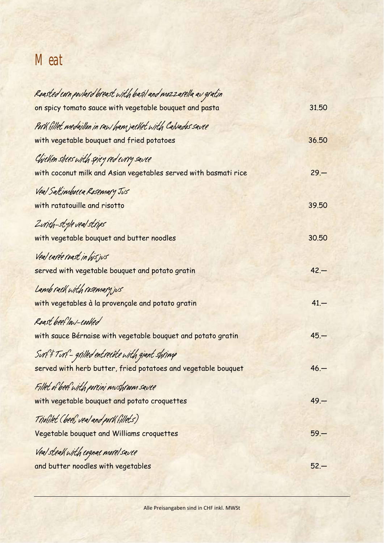# *Meat*

| Roasted corn poulard breast with basil and mozzarella av gratin |        |
|-----------------------------------------------------------------|--------|
| on spicy tomato sauce with vegetable bouquet and pasta          | 31.50  |
| Porth fillet medaillon in raw ham jacket with Calvados saved    |        |
| with vegetable bouquet and fried potatoes                       | 36.50  |
| Chicken stres with spicy red wry savee                          |        |
| with coconut milk and Asian vegetables served with basmati rice | $29 -$ |
| Veal Sattimbolla Rosemary Jus                                   |        |
| with ratatouille and risotto                                    | 39.50  |
| Zvrich-style veal strips                                        |        |
| with vegetable bouquet and butter noodles                       | 30.50  |
| Veal carée roast in his jus                                     |        |
| served with vegetable bouquet and potato gratin                 | $42 -$ |
| Lamb rack with resemary jus                                     |        |
| with vegetables à la provençale and potato gratin               | $41 -$ |
| Roast beef low-cooled                                           |        |
| with sauce Bérnaise with vegetable bouquet and potato gratin    | $45 -$ |
| Surt't Turt – gritted entrecâte with giant shrimp               |        |
| served with herb butter, fried potatoes and vegetable bouquet   | $46 -$ |
| Fillet of beef with poreini mushroom savee                      |        |
| with vegetable bouquet and potato croquettes                    | $49 -$ |
| Triofilet (beef, veal and port fillets)                         |        |
| Vegetable bouquet and Williams croquettes                       | $59 -$ |
| Veal steak with cognac morel savee                              |        |
| and butter noodles with vegetables                              | $52 -$ |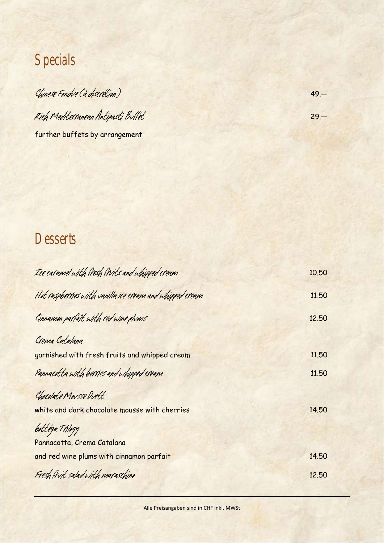

Chinese Fondue (à discrétion) 49.— Rich Mediterranean Antipasti Buffet 29. further buffets by arrangement

#### *Desserts*

| Ice caramel with fresh frits and whipped cream           | 10.50 |
|----------------------------------------------------------|-------|
| Hot raspberries with vanilla ice cream and whipped cream | 11.50 |
| Cinnamon partait with red wine plums                     | 12,50 |
| Crema Catalana                                           |       |
| garnished with fresh fruits and whipped cream            | 11.50 |
| Pannacotta with berries and whipped cream                | 11.50 |
| Chocolate Mousse Duett                                   |       |
| white and dark chocolate mousse with cherries            | 14.50 |
| bottéga Trilogy                                          |       |
| Pannacotta, Crema Catalana                               |       |
| and red wine plums with cinnamon parfait                 | 14.50 |
| Fresh fruit salad with maraschino                        | 12.50 |

Alle Preisangaben sind in CHF inkl. MWSt